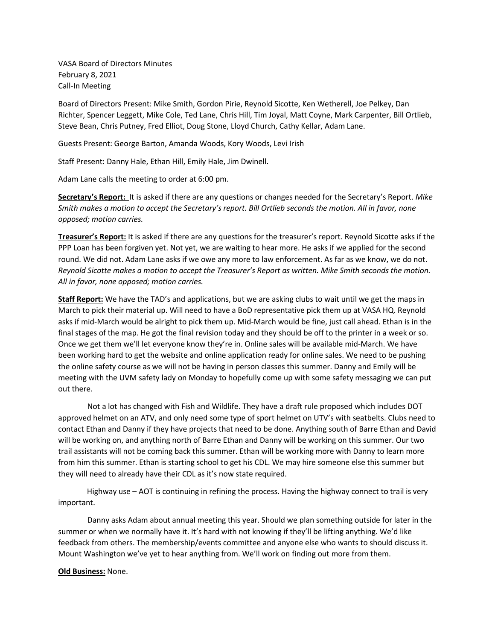VASA Board of Directors Minutes February 8, 2021 Call-In Meeting

Board of Directors Present: Mike Smith, Gordon Pirie, Reynold Sicotte, Ken Wetherell, Joe Pelkey, Dan Richter, Spencer Leggett, Mike Cole, Ted Lane, Chris Hill, Tim Joyal, Matt Coyne, Mark Carpenter, Bill Ortlieb, Steve Bean, Chris Putney, Fred Elliot, Doug Stone, Lloyd Church, Cathy Kellar, Adam Lane.

Guests Present: George Barton, Amanda Woods, Kory Woods, Levi Irish

Staff Present: Danny Hale, Ethan Hill, Emily Hale, Jim Dwinell.

Adam Lane calls the meeting to order at 6:00 pm.

**Secretary's Report:** It is asked if there are any questions or changes needed for the Secretary's Report. *Mike Smith makes a motion to accept the Secretary's report. Bill Ortlieb seconds the motion. All in favor, none opposed; motion carries.* 

**Treasurer's Report:** It is asked if there are any questions for the treasurer's report. Reynold Sicotte asks if the PPP Loan has been forgiven yet. Not yet, we are waiting to hear more. He asks if we applied for the second round. We did not. Adam Lane asks if we owe any more to law enforcement. As far as we know, we do not. *Reynold Sicotte makes a motion to accept the Treasurer's Report as written. Mike Smith seconds the motion. All in favor, none opposed; motion carries.*

**Staff Report:** We have the TAD's and applications, but we are asking clubs to wait until we get the maps in March to pick their material up. Will need to have a BoD representative pick them up at VASA HQ. Reynold asks if mid-March would be alright to pick them up. Mid-March would be fine, just call ahead. Ethan is in the final stages of the map. He got the final revision today and they should be off to the printer in a week or so. Once we get them we'll let everyone know they're in. Online sales will be available mid-March. We have been working hard to get the website and online application ready for online sales. We need to be pushing the online safety course as we will not be having in person classes this summer. Danny and Emily will be meeting with the UVM safety lady on Monday to hopefully come up with some safety messaging we can put out there.

Not a lot has changed with Fish and Wildlife. They have a draft rule proposed which includes DOT approved helmet on an ATV, and only need some type of sport helmet on UTV's with seatbelts. Clubs need to contact Ethan and Danny if they have projects that need to be done. Anything south of Barre Ethan and David will be working on, and anything north of Barre Ethan and Danny will be working on this summer. Our two trail assistants will not be coming back this summer. Ethan will be working more with Danny to learn more from him this summer. Ethan is starting school to get his CDL. We may hire someone else this summer but they will need to already have their CDL as it's now state required.

 Highway use – AOT is continuing in refining the process. Having the highway connect to trail is very important.

Danny asks Adam about annual meeting this year. Should we plan something outside for later in the summer or when we normally have it. It's hard with not knowing if they'll be lifting anything. We'd like feedback from others. The membership/events committee and anyone else who wants to should discuss it. Mount Washington we've yet to hear anything from. We'll work on finding out more from them.

**Old Business:** None.